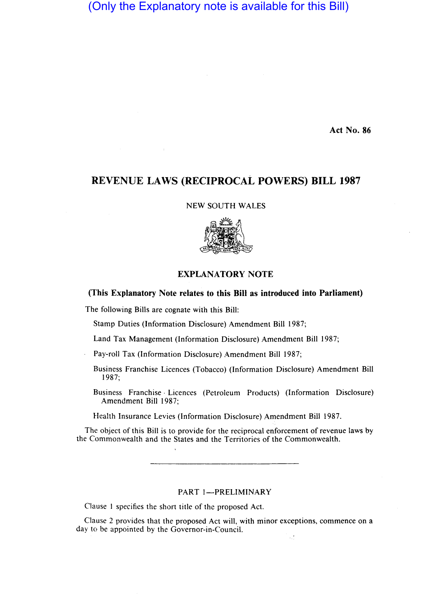# (Only the Explanatory note is available for this Bill)

Act No. 86

# REVENUE LAWS (RECIPROCAL POWERS) **BILL** 1987

NEW SOUTH WALES



## EXPLANATORY NOTE

## (This Explanatory Note relates to this Bill as introduced into Parliament)

The following Bills are cognate with this Bill:

Stamp Duties (Information Disclosure) Amendment Bill 1987;

Land Tax Management (Information Disclosure) Amendment Bill 1987;

Pay-roll Tax (Information Disclosure) Amendment Bill 1987;

- Business Franchise Licences (Tobacco) (Information Disclosure) Amendment Bill 1987;
- Business Franchise· Licences (Petroleum Products) (Information Disclosure) Amendment Bill 1987;

Health Insurance Levies (Information Disclosure) Amendment Bill 1987.

The object of this Bill is to provide for the reciprocal enforcement of revenue laws by the Commonwealth and the States and the Territories of the Commonwealth.

PART 1-PRELIMINARY

Clause 1 specifies the short title of the proposed Act.

 $\bar{\mathbf{r}}$ 

Clause 2 provides that the proposed Act will, with minor exceptions, commence on a day to be appointed by the Governor-in-Council.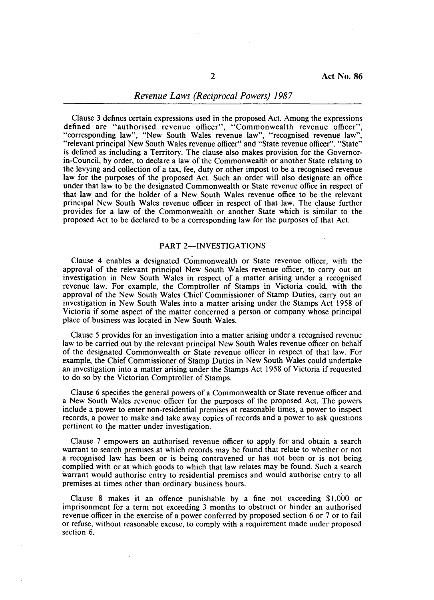### *Revenue Laws (Reciprocal Powers) 1987*

Clause 3 defines certain expressions used in the proposed Act. Among the expressions defined are "authorised revenue officer", "Commonwealth revenue officer", "corresponding law", "New South Wales revenue law", "recognised revenue law", "relevant principal New South Wales revenue officer" and "State revenue officer". "State" is defined as including a Territory. The clause also makes provision for the Governorin-Council, by order, to declare a law of the Commonwealth or another State relating to the levying and collection of a tax, fee, duty or other impost to be a recognised revenue law for the purposes of the proposed Act. Such an order will also designate an office under that law to be the designated Commonwealth or State revenue office in respect of that law and for the holder of a New South Wales revenue office to be the relevant principal New South Wales revenue officer in respect of that law. The clause further provides for a law of the Commonwealth or another State which is similar to the proposed Act to be declared to be a corresponding law for the purposes of that Act.

#### PART 2-INVESTIGATIONS

Clause 4 enables a designated Commonwealth or State revenue officer, with the approval of the relevant principal New South Wales revenue officer, to carry out an investigation in New South Wales in respect of a matter arising under a recognised revenue law. For example, the Comptroller of Stamps in Victoria could, with the approval of the New South Wales Chief Commissioner of Stamp Duties, carry out an investigation in New South Wales into a matter arising under the Stamps Act 1958 of Victoria if some aspect of the matter concerned a person or company whose principal place of business was located in New South Wales.

Clause 5 provides for an investigation into a matter arising under a recognised revenue law to be carried out by the relevant principal New South Wales revenue officer on behalf of the designated Commonwealth or State revenue officer in respect of that law. For example, the Chief Commissioner of Stamp Duties in New South Wales could undertake an investigation into a matter arising under the Stamps Act 1958 of Victoria if requested to do so by the Victorian Comptroller of Stamps.

Clause 6 specifies the general powers of a Commonwealth or State revenue officer and a New South Wales revenue officer for the purposes of the proposed Act. The powers include a power to enter non-residential premises at reasonable times, a power to inspect records, a power to make and take away copies of records and a power to ask questions pertinent to the matter under investigation.

Clause 7 empowers an authorised revenue officer to apply for and obtain a search warrant to search premises at which records may be found that relate to whether or not a recognised law has been or is being contravened or has not been or is not being complied with or at which goods to which that law relates may be found. Such a search warrant would authorise entry to residential premises and would authorise entry to all premises at times other than ordinary business hours.

Clause 8 makes it an offence punishable by a fine not exceeding \$1,000 or imprisonment for a term not exceeding 3 months to obstruct or hinder an authorised revenue officer in the exercise of a power conferred by proposed section 6 or 7 or to fail or refuse, without reasonable excuse, to comply with a requirement made under proposed section 6.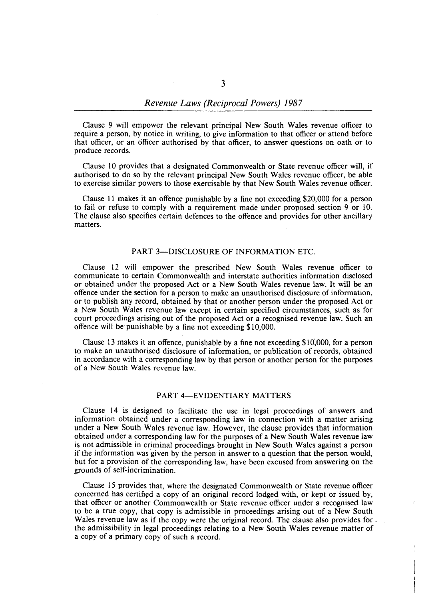Clause 9 will empower the relevant principal New South Wales revenue officer to require a person, by notice in writing, to give information to that officer or attend before that officer, or an officer authorised by that officer, to answer questions on oath or to produce records.

Clause 10 provides that a designated Commonwealth or State revenue officer will, if authorised to do so by the relevant principal New South Wales revenue officer, be able to exercise similar powers to those exercisable by that New South Wales revenue officer.

Clause 11 makes it an offence punishable by a fine not exceeding \$20,000 for a person to fail or refuse to comply with a requirement made under proposed section 9 or 10. The clause also specifies certain defences to the offence and provides for other ancillary matters.

#### PART 3-DISCLOSURE OF INFORMATION ETC.

Clause 12 will empower the prescribed New South Wales revenue officer to communicate to certain Commonwealth and interstate authorities information disclosed or obtained under the proposed Act or a New South Wales revenue law. It will be an offence under the section for a person to make an unauthorised disclosure of information, or to publish any record, obtained by that or another person under the proposed Act or a New South Wales revenue law except in certain specified circumstances, such as for court proceedings arising out of the proposed Act or a recognised revenue law. Such an offence will be punishable by a fine not exceeding \$10,000.

Clause 13 makes it an offence, punishable by a fine not exceeding  $$10,000$ , for a person to make an unauthorised disclosure of information, or publication of records, obtained in accordance with a corresponding law by that person or another person for the purposes of a New South Wales revenue law.

### PART 4-EVIDENTIARY MATTERS

Clause 14 is designed to facilitate the use in legal proceedings of answers and information obtained under a corresponding law in connection with a matter arising under a New South Wales revenue law. However, the clause provides that information obtained under a corresponding law for the purposes of a New South Wales revenue law is not admissible in criminal proceedings brought in New South Wales against a person if the information was given by the person in answer to a question that the person would, but for a provision of the corresponding law, have been excused from answering on the grounds of self-incrimination.

Clause 15 provides that, where the designated Commonwealth or State revenue officer concerned has certified a copy of an original record lodged with, or kept or issued by, that officer or another Commonwealth or State revenue officer under a recognised law to be a true copy, that copy is admissible in proceedings arising out of a New South Wales revenue law as if the copy were the original record. The clause also provides forthe admissibility in legal proceedings relating to a New South Wales revenue matter of a copy of a primary copy of such a record.